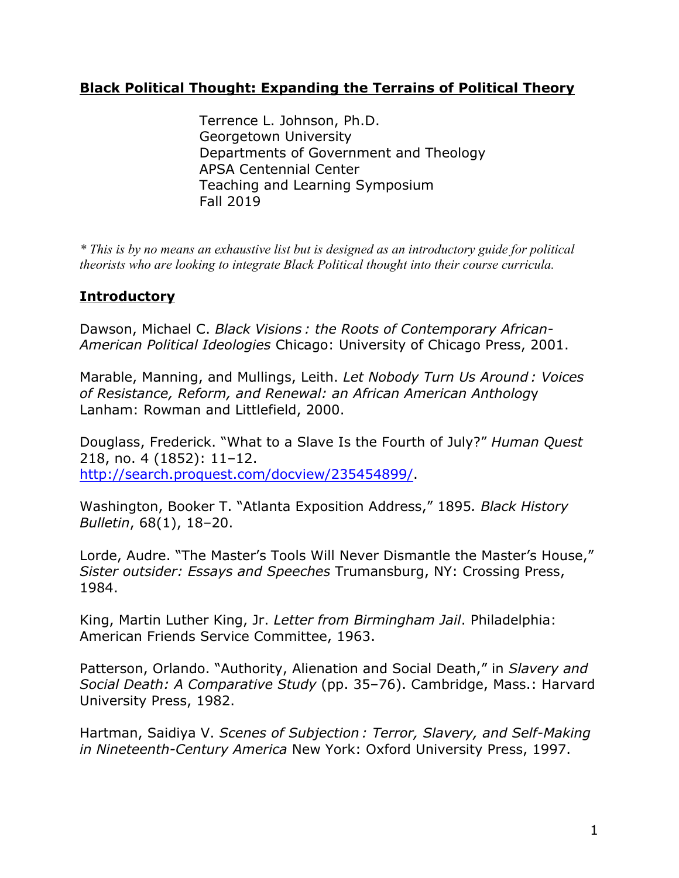# **Black Political Thought: Expanding the Terrains of Political Theory**

Terrence L. Johnson, Ph.D. Georgetown University Departments of Government and Theology APSA Centennial Center Teaching and Learning Symposium Fall 2019

*\* This is by no means an exhaustive list but is designed as an introductory guide for political theorists who are looking to integrate Black Political thought into their course curricula.*

# **Introductory**

Dawson, Michael C. *Black Visions : the Roots of Contemporary African-American Political Ideologies* Chicago: University of Chicago Press, 2001.

Marable, Manning, and Mullings, Leith. *Let Nobody Turn Us Around : Voices of Resistance, Reform, and Renewal: an African American Antholog*y Lanham: Rowman and Littlefield, 2000.

Douglass, Frederick. "What to a Slave Is the Fourth of July?" *Human Quest* 218, no. 4 (1852): 11–12. http://search.proquest.com/docview/235454899/.

Washington, Booker T. "Atlanta Exposition Address," 1895*. Black History Bulletin*, 68(1), 18–20.

Lorde, Audre. "The Master's Tools Will Never Dismantle the Master's House," *Sister outsider: Essays and Speeches* Trumansburg, NY: Crossing Press, 1984.

King, Martin Luther King, Jr. *Letter from Birmingham Jail*. Philadelphia: American Friends Service Committee, 1963.

Patterson, Orlando. "Authority, Alienation and Social Death," in *Slavery and Social Death: A Comparative Study* (pp. 35–76). Cambridge, Mass.: Harvard University Press, 1982.

Hartman, Saidiya V. *Scenes of Subjection : Terror, Slavery, and Self-Making in Nineteenth-Century America* New York: Oxford University Press, 1997.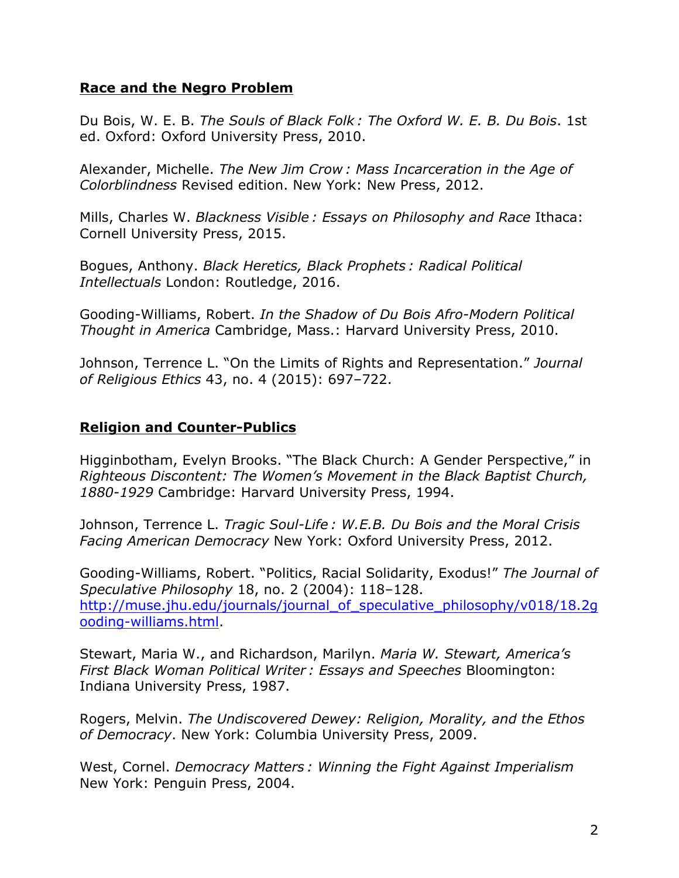#### **Race and the Negro Problem**

Du Bois, W. E. B. *The Souls of Black Folk : The Oxford W. E. B. Du Bois*. 1st ed. Oxford: Oxford University Press, 2010.

Alexander, Michelle. *The New Jim Crow : Mass Incarceration in the Age of Colorblindness* Revised edition. New York: New Press, 2012.

Mills, Charles W. *Blackness Visible : Essays on Philosophy and Race* Ithaca: Cornell University Press, 2015.

Bogues, Anthony. *Black Heretics, Black Prophets : Radical Political Intellectuals* London: Routledge, 2016.

Gooding-Williams, Robert. *In the Shadow of Du Bois Afro-Modern Political Thought in America* Cambridge, Mass.: Harvard University Press, 2010.

Johnson, Terrence L. "On the Limits of Rights and Representation." *Journal of Religious Ethics* 43, no. 4 (2015): 697–722.

#### **Religion and Counter-Publics**

Higginbotham, Evelyn Brooks. "The Black Church: A Gender Perspective," in *Righteous Discontent: The Women's Movement in the Black Baptist Church, 1880-1929* Cambridge: Harvard University Press, 1994.

Johnson, Terrence L. *Tragic Soul-Life : W.E.B. Du Bois and the Moral Crisis Facing American Democracy* New York: Oxford University Press, 2012.

Gooding-Williams, Robert. "Politics, Racial Solidarity, Exodus!" *The Journal of Speculative Philosophy* 18, no. 2 (2004): 118–128. http://muse.jhu.edu/journals/journal\_of\_speculative\_philosophy/v018/18.2g ooding-williams.html.

Stewart, Maria W., and Richardson, Marilyn. *Maria W. Stewart, America's First Black Woman Political Writer : Essays and Speeches* Bloomington: Indiana University Press, 1987.

Rogers, Melvin. *The Undiscovered Dewey: Religion, Morality, and the Ethos of Democracy*. New York: Columbia University Press, 2009.

West, Cornel. *Democracy Matters : Winning the Fight Against Imperialism* New York: Penguin Press, 2004.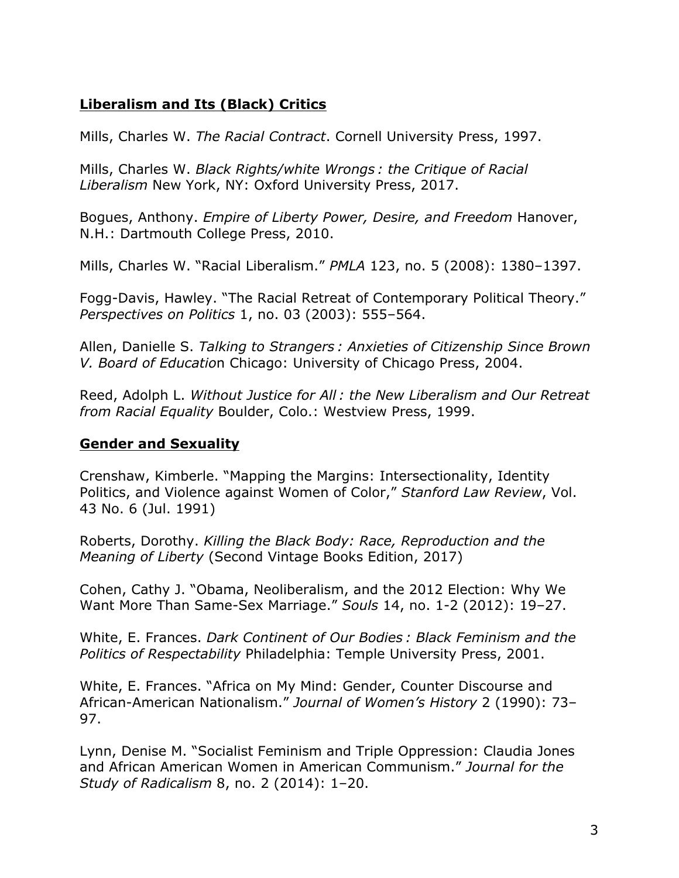# **Liberalism and Its (Black) Critics**

Mills, Charles W. *The Racial Contract*. Cornell University Press, 1997.

Mills, Charles W. *Black Rights/white Wrongs : the Critique of Racial Liberalism* New York, NY: Oxford University Press, 2017.

Bogues, Anthony. *Empire of Liberty Power, Desire, and Freedom* Hanover, N.H.: Dartmouth College Press, 2010.

Mills, Charles W. "Racial Liberalism." *PMLA* 123, no. 5 (2008): 1380–1397.

Fogg-Davis, Hawley. "The Racial Retreat of Contemporary Political Theory." *Perspectives on Politics* 1, no. 03 (2003): 555–564.

Allen, Danielle S. *Talking to Strangers : Anxieties of Citizenship Since Brown V. Board of Educatio*n Chicago: University of Chicago Press, 2004.

Reed, Adolph L. *Without Justice for All : the New Liberalism and Our Retreat from Racial Equality* Boulder, Colo.: Westview Press, 1999.

## **Gender and Sexuality**

Crenshaw, Kimberle. "Mapping the Margins: Intersectionality, Identity Politics, and Violence against Women of Color," *Stanford Law Review*, Vol. 43 No. 6 (Jul. 1991)

Roberts, Dorothy. *Killing the Black Body: Race, Reproduction and the Meaning of Liberty* (Second Vintage Books Edition, 2017)

Cohen, Cathy J. "Obama, Neoliberalism, and the 2012 Election: Why We Want More Than Same-Sex Marriage." *Souls* 14, no. 1-2 (2012): 19–27.

White, E. Frances. *Dark Continent of Our Bodies : Black Feminism and the Politics of Respectability* Philadelphia: Temple University Press, 2001.

White, E. Frances. "Africa on My Mind: Gender, Counter Discourse and African-American Nationalism." *Journal of Women's History* 2 (1990): 73– 97.

Lynn, Denise M. "Socialist Feminism and Triple Oppression: Claudia Jones and African American Women in American Communism." *Journal for the Study of Radicalism* 8, no. 2 (2014): 1–20.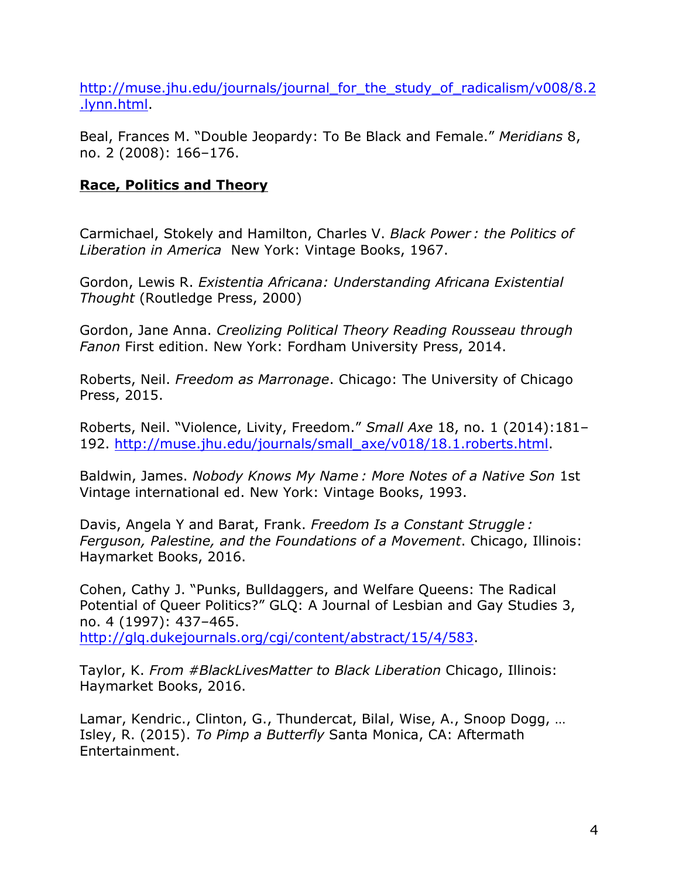http://muse.jhu.edu/journals/journal\_for\_the\_study\_of\_radicalism/v008/8.2 .lynn.html.

Beal, Frances M. "Double Jeopardy: To Be Black and Female." *Meridians* 8, no. 2 (2008): 166–176.

# **Race, Politics and Theory**

Carmichael, Stokely and Hamilton, Charles V. *Black Power : the Politics of Liberation in America* New York: Vintage Books, 1967.

Gordon, Lewis R. *Existentia Africana: Understanding Africana Existential Thought* (Routledge Press, 2000)

Gordon, Jane Anna. *Creolizing Political Theory Reading Rousseau through Fanon* First edition. New York: Fordham University Press, 2014.

Roberts, Neil. *Freedom as Marronage*. Chicago: The University of Chicago Press, 2015.

Roberts, Neil. "Violence, Livity, Freedom." *Small Axe* 18, no. 1 (2014):181– 192. http://muse.jhu.edu/journals/small\_axe/v018/18.1.roberts.html.

Baldwin, James. *Nobody Knows My Name : More Notes of a Native Son* 1st Vintage international ed. New York: Vintage Books, 1993.

Davis, Angela Y and Barat, Frank. *Freedom Is a Constant Struggle : Ferguson, Palestine, and the Foundations of a Movement*. Chicago, Illinois: Haymarket Books, 2016.

Cohen, Cathy J. "Punks, Bulldaggers, and Welfare Queens: The Radical Potential of Queer Politics?" GLQ: A Journal of Lesbian and Gay Studies 3, no. 4 (1997): 437–465. http://glq.dukejournals.org/cgi/content/abstract/15/4/583.

Taylor, K. *From #BlackLivesMatter to Black Liberation* Chicago, Illinois: Haymarket Books, 2016.

Lamar, Kendric., Clinton, G., Thundercat, Bilal, Wise, A., Snoop Dogg, … Isley, R. (2015). *To Pimp a Butterfly* Santa Monica, CA: Aftermath Entertainment.